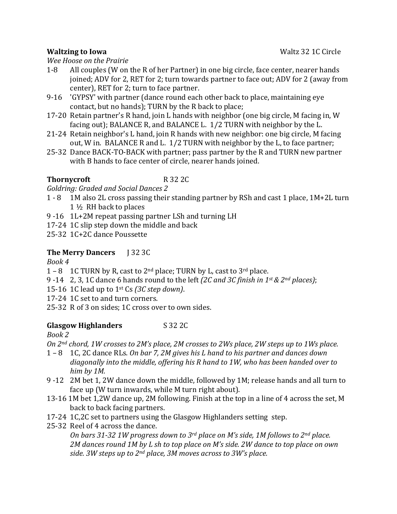### **Waltzing to Iowa** News 2008 **Waltz** 22 1 C Circle

*Wee Hoose on the Prairie*

- 1-8 All couples (W on the R of her Partner) in one big circle, face center, nearer hands joined; ADV for 2, RET for 2; turn towards partner to face out; ADV for 2 (away from center), RET for 2; turn to face partner.
- 9-16 'GYPSY' with partner (dance round each other back to place, maintaining eye contact, but no hands); TURN by the R back to place;
- 17-20 Retain partner's R hand, join L hands with neighbor (one big circle, M facing in, W facing out); BALANCE R, and BALANCE L.  $1/2$  TURN with neighbor by the L.
- 21-24 Retain neighbor's L hand, join R hands with new neighbor: one big circle, M facing out, W in. BALANCE R and L.  $1/2$  TURN with neighbor by the L, to face partner;
- 25-32 Dance BACK-TO-BACK with partner; pass partner by the R and TURN new partner with B hands to face center of circle, nearer hands joined.

## **Thornycroft** R 32 2C

*Goldring: Graded and Social Dances 2* 

- 1 8 1M also 2L cross passing their standing partner by RSh and cast 1 place, 1M+2L turn  $1\frac{1}{2}$  RH back to places
- 9 -16  $1L+2M$  repeat passing partner LSh and turning LH
- 17-24 1C slip step down the middle and back
- 25-32 1C+2C dance Poussette

# **The Merry Dancers J** 32 3C

## *Book 4*

- 1 8 1C TURN by R, cast to  $2<sup>nd</sup>$  place; TURN by L, cast to  $3<sup>rd</sup>$  place.
- 9 -14  $\,$  2, 3, 1C dance 6 hands round to the left *(2C and 3C finish in 1st & 2<sup>nd</sup> places)*;
- 15-16 1C lead up to  $1^{st}$  Cs  $(3C \,step \, down)$ .
- 17-24 1C set to and turn corners.
- 25-32 R of 3 on sides; 1C cross over to own sides.

## **Glasgow Highlanders** S 32 2C

## *Book 2*

*On* 2<sup>nd</sup> chord, 1W crosses to 2M's place, 2M crosses to 2Ws place, 2W steps up to 1Ws place.

- 1 8 1C, 2C dance RLs. On bar 7, 2M gives his L hand to his partner and dances down diagonally into the middle, offering his R hand to 1W, who has been handed over to *him by 1M.*
- 9 -12 2M bet 1, 2W dance down the middle, followed by 1M; release hands and all turn to face up (W turn inwards, while M turn right about).
- 13-16 1M bet 1,2W dance up, 2M following. Finish at the top in a line of 4 across the set, M back to back facing partners.
- 17-24 1C,2C set to partners using the Glasgow Highlanders setting step.
- 25-32 Reel of 4 across the dance.

*On bars* 31-32 1W progress down to 3<sup>rd</sup> place on M's side, 1M follows to 2<sup>nd</sup> place. 2M dances round 1M by L sh to top place on M's side. 2W dance to top place on own side. 3W steps up to 2<sup>nd</sup> place, 3M moves across to 3W's place.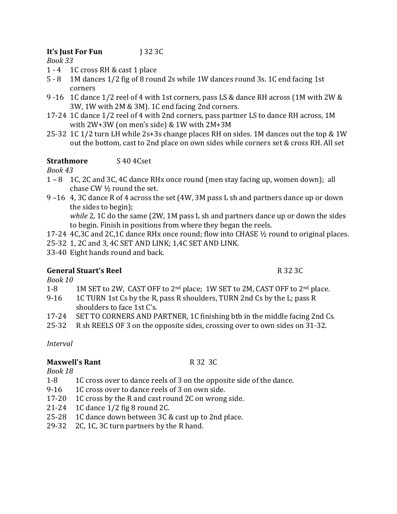## **It's Just For Fun** J 32 3C

*Book 33* 

- 1 4 1 C cross RH & cast 1 place
- 5 8 1M dances 1/2 fig of 8 round 2s while 1W dances round 3s. 1C end facing 1st corners
- 9 -16 1C dance 1/2 reel of 4 with 1st corners, pass LS & dance RH across (1M with 2W &  $3W$ ,  $1W$  with  $2M \& 3M$ ).  $1C$  end facing  $2nd$  corners.
- 17-24 1C dance 1/2 reel of 4 with 2nd corners, pass partner LS to dance RH across, 1M with  $2W+3W$  (on men's side) & 1W with  $2M+3M$
- 25-32 1C 1/2 turn LH while  $2s+3s$  change places RH on sides. 1M dances out the top & 1W out the bottom, cast to 2nd place on own sides while corners set & cross RH. All set

## **Strathmore** S 40 4Cset

*Book 43*

- $1 8$  1C, 2C and 3C, 4C dance RHx once round (men stay facing up, women down); all chase CW  $\frac{1}{2}$  round the set.
- 9 –16 4, 3C dance R of 4 across the set (4W, 3M pass L sh and partners dance up or down the sides to begin);

*while* 2, 1C do the same (2W, 1M pass L sh and partners dance up or down the sides to begin. Finish in positions from where they began the reels.

- 17-24 4C,3C and 2C,1C dance RHx once round; flow into CHASE  $\frac{1}{2}$  round to original places.
- 25-32 1, 2C and 3, 4C SET AND LINK; 1,4C SET AND LINK.
- 33-40 Eight hands round and back.

## **General Stuart's Reel** R 32 3C

*Book 10*

- 1-8 1M SET to 2W, CAST OFF to 2<sup>nd</sup> place; 1W SET to 2M, CAST OFF to 2<sup>nd</sup> place.
- 9-16 1C TURN 1st Cs by the R, pass R shoulders, TURN 2nd Cs by the L; pass R shoulders to face 1st C's.
- 17-24 SET TO CORNERS AND PARTNER, 1C finishing btb in the middle facing 2nd Cs.
- 25-32 R sh REELS OF 3 on the opposite sides, crossing over to own sides on 31-32.

*Interval*

### **Maxwell's Rant** R 32 3C

*Book 18*

- 1-8 1C cross over to dance reels of 3 on the opposite side of the dance.
- 9-16 1C cross over to dance reels of 3 on own side.
- 17-20 1C cross by the R and cast round  $2C$  on wrong side.
- 21-24  $\cdot$  1C dance 1/2 fig 8 round 2C.
- 25-28 1C dance down between 3C & cast up to 2nd place.
- 29-32 2C, 1C, 3C turn partners by the R hand.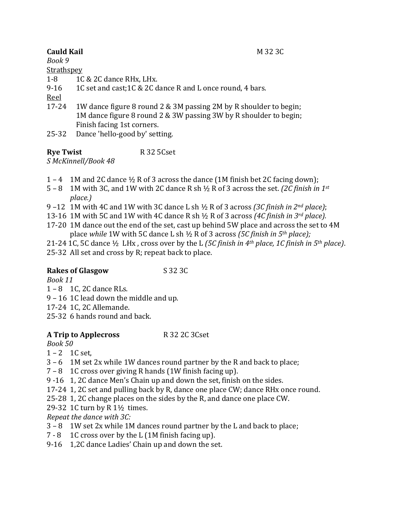## **Cauld Kail M** 32 3C

*Book 9*

## **Strathspey**

- 1-8 1C & 2C dance RHx, LHx.
- 9-16 1C set and cast;  $1C & 2C$  dance R and L once round, 4 bars.

Reel

- 17-24 1W dance figure 8 round 2 & 3M passing 2M by R shoulder to begin; 1M dance figure 8 round 2 & 3W passing 3W by R shoulder to begin; Finish facing 1st corners.
- 25-32 Dance 'hello-good by' setting.

**Rye Twist** R 32 5Cset *S McKinnell/Book 48*

- 1 4 1M and 2C dance  $\frac{1}{2}$  R of 3 across the dance (1M finish bet 2C facing down);
- 5 8 1M with 3C, and 1W with 2C dance R sh  $\frac{1}{2}$  R of 3 across the set. *(2C finish in 1<sup>st</sup>*) *place.)*
- 9 –12 1M with 4C and 1W with 3C dance L sh  $\frac{1}{2}$  R of 3 across *(3C finish in 2<sup>nd</sup> place)*;
- 13-16 1M with 5C and 1W with 4C dance R sh  $\frac{1}{2}$  R of 3 across *(4C finish in 3<sup>rd</sup> place).*
- 17-20 1M dance out the end of the set, cast up behind 5W place and across the set to 4M place *while* 1W with 5C dance L sh  $\frac{1}{2}$  R of 3 across *(5C finish in 5<sup>th</sup> place);*
- 21-24 1C, 5C dance  $\frac{1}{2}$  LHx, cross over by the L *(5C finish in 4<sup>th</sup> place, 1C finish in 5<sup>th</sup> place)*.
- 25-32 All set and cross by R; repeat back to place.

# **Rakes of Glasgow** S 32 3C

*Book 11*

- $1 8$  1C, 2C dance RLs.
- $9 16$  1C lead down the middle and up.
- 17-24 1C, 2C Allemande.
- 25-32 6 hands round and back.

# **A Trip to Applecross** R 32 2C 3Cset

*Book 50*

- $1 2$  1C set,
- $3 6$  1M set  $2x$  while 1W dances round partner by the R and back to place;
- $7 8$  1C cross over giving R hands  $(1W$  finish facing up).
- 9 -16 1, 2C dance Men's Chain up and down the set, finish on the sides.
- 17-24 1, 2C set and pulling back by R, dance one place CW; dance RHx once round.
- 25-28 1, 2C change places on the sides by the R, and dance one place CW.
- 29-32 1C turn by  $R$  1 $\frac{1}{2}$  times.

*Repeat the dance with 3C:* 

- $3 8$  1W set 2x while 1M dances round partner by the L and back to place;
- $7 8$  1C cross over by the L (1M finish facing up).
- 9-16  $\,$  1,2C dance Ladies' Chain up and down the set.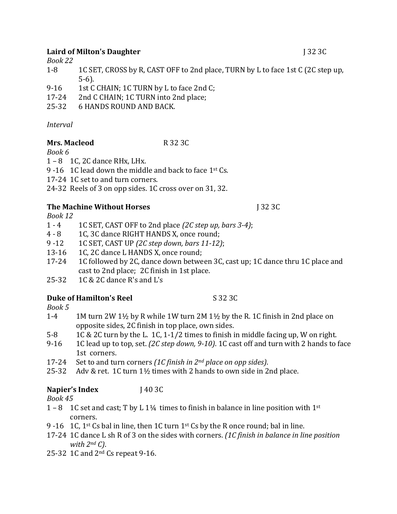### **Laird of Milton's Daughter** J 32 3C

*Book 22*

- 1-8 1C SET, CROSS by R, CAST OFF to 2nd place, TURN by L to face 1st C (2C step up, 5-6).
- 9-16 1st C CHAIN; 1C TURN by L to face 2nd C;
- 17-24 2nd C CHAIN; 1C TURN into 2nd place;
- 25-32 6 HANDS ROUND AND BACK.

## *Interval*

## **Mrs. Macleod** R 32 3C

*Book 6*

- $1 8$  1C, 2C dance RHx, LHx.
- 9 -16 1C lead down the middle and back to face  $1<sup>st</sup>$  Cs.
- 17-24 1C set to and turn corners.
- 24-32 Reels of 3 on opp sides. 1C cross over on 31, 32.

# **The Machine Without Horses J 32 3C**

*Book 12*

- 1 4 1C SET, CAST OFF to 2nd place *(2C step up, bars 3-4)*;
- 4 8 1C, 3C dance RIGHT HANDS X, once round;
- 9 -12 1C SET, CAST UP *(2C step down, bars 11-12)*;
- 13-16 1C, 2C dance L HANDS X, once round;
- 17-24 1C followed by 2C, dance down between 3C, cast up; 1C dance thru 1C place and cast to 2nd place; 2C finish in 1st place.
- 25-32  $1C & 2C$  dance R's and L's

## **Duke of Hamilton's Reel** S 32 3C

*Book 5*

- 1-4 1M turn 2W 1½ by R while 1W turn 2M 1½ by the R. 1C finish in 2nd place on opposite sides, 2C finish in top place, own sides.
- 5-8 1C & 2C turn by the L. 1C, 1-1/2 times to finish in middle facing up, W on right.
- 9-16 1C lead up to top, set. *(2C step down, 9-10)*. 1C cast off and turn with 2 hands to face 1st corners.
- 17-24 Set to and turn corners *(1C finish in 2<sup>nd</sup> place on opp sides)*.
- 25-32 Adv & ret.  $1C$  turn  $1\frac{1}{2}$  times with 2 hands to own side in 2nd place.

# **Napier's Index** J 40 3C

*Book 45*

- 1 8 1C set and cast; T by L 1¼ times to finish in balance in line position with  $1^{st}$ corners.
- 9 -16 1C,  $1^{st}$  Cs bal in line, then 1C turn  $1^{st}$  Cs by the R once round; bal in line.
- 17-24 1C dance L sh R of 3 on the sides with corners. *(1C finish in balance in line position with*  $2^{nd} C$ *)*.
- 25-32 1C and  $2<sup>nd</sup>$  Cs repeat 9-16.